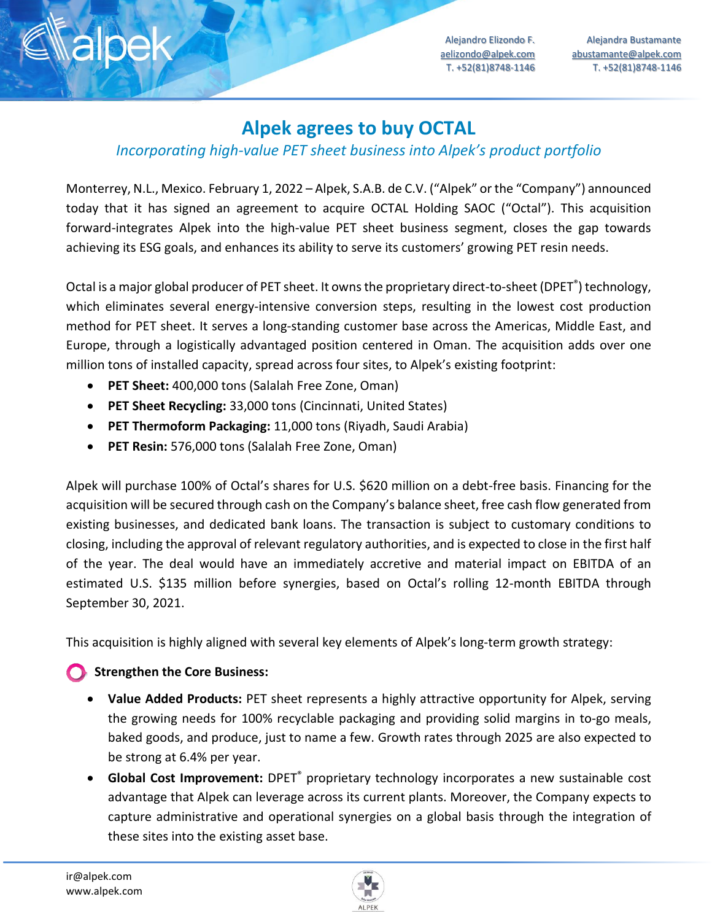Alejandro Elizondo F. aelizondo@alpek.com T. +52(81)8748-1146

Alejandra Bustamante abustamante@alpek.com T. +52(81)8748-1146

# **Alpek agrees to buy OCTAL**

## *Incorporating high-value PET sheet business into Alpek's product portfolio*

Monterrey, N.L., Mexico. February 1, 2022 – Alpek, S.A.B. de C.V. ("Alpek" or the "Company") announced today that it has signed an agreement to acquire OCTAL Holding SAOC ("Octal"). This acquisition forward-integrates Alpek into the high-value PET sheet business segment, closes the gap towards achieving its ESG goals, and enhances its ability to serve its customers' growing PET resin needs.

Octal is a major global producer of PET sheet. It owns the proprietary direct-to-sheet (DPET<sup>®</sup>) technology, which eliminates several energy-intensive conversion steps, resulting in the lowest cost production method for PET sheet. It serves a long-standing customer base across the Americas, Middle East, and Europe, through a logistically advantaged position centered in Oman. The acquisition adds over one million tons of installed capacity, spread across four sites, to Alpek's existing footprint:

- **PET Sheet:** 400,000 tons (Salalah Free Zone, Oman)
- **PET Sheet Recycling:** 33,000 tons (Cincinnati, United States)
- **PET Thermoform Packaging:** 11,000 tons (Riyadh, Saudi Arabia)
- **PET Resin:** 576,000 tons (Salalah Free Zone, Oman)

Alpek will purchase 100% of Octal's shares for U.S. \$620 million on a debt-free basis. Financing for the acquisition will be secured through cash on the Company's balance sheet, free cash flow generated from existing businesses, and dedicated bank loans. The transaction is subject to customary conditions to closing, including the approval of relevant regulatory authorities, and is expected to close in the first half of the year. The deal would have an immediately accretive and material impact on EBITDA of an estimated U.S. \$135 million before synergies, based on Octal's rolling 12-month EBITDA through September 30, 2021.

This acquisition is highly aligned with several key elements of Alpek's long-term growth strategy:

## **Strengthen the Core Business:**

- **Value Added Products:** PET sheet represents a highly attractive opportunity for Alpek, serving the growing needs for 100% recyclable packaging and providing solid margins in to-go meals, baked goods, and produce, just to name a few. Growth rates through 2025 are also expected to be strong at 6.4% per year.
- **Global Cost Improvement:** DPET® proprietary technology incorporates a new sustainable cost advantage that Alpek can leverage across its current plants. Moreover, the Company expects to capture administrative and operational synergies on a global basis through the integration of these sites into the existing asset base.